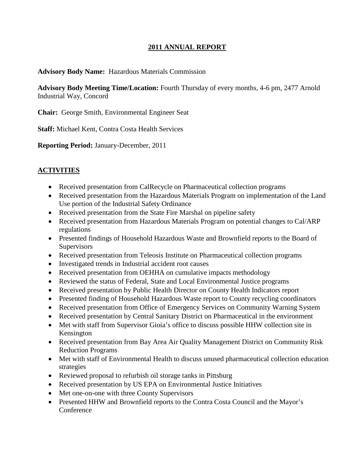## **2011 ANNUAL REPORT**

#### **Advisory Body Name:** Hazardous Materials Commission

**Advisory Body Meeting Time/Location:** Fourth Thursday of every months, 4-6 pm, 2477 Arnold Industrial Way, Concord

**Chair:** George Smith, Environmental Engineer Seat

**Staff:** Michael Kent, Contra Costa Health Services

**Reporting Period:** January-December, 2011

## **ACTIVITIES**

- Received presentation from CalRecycle on Pharmaceutical collection programs
- Received presentation from the Hazardous Materials Program on implementation of the Land Use portion of the Industrial Safety Ordinance
- Received presentation from the State Fire Marshal on pipeline safety
- Received presentation from Hazardous Materials Program on potential changes to Cal/ARP regulations
- Presented findings of Household Hazardous Waste and Brownfield reports to the Board of **Supervisors**
- Received presentation from Teleosis Institute on Pharmaceutical collection programs
- Investigated trends in Industrial accident root causes
- Received presentation from OEHHA on cumulative impacts methodology
- Reviewed the status of Federal, State and Local Environmental Justice programs
- Received presentation by Public Health Director on County Health Indicators report
- Presented finding of Household Hazardous Waste report to County recycling coordinators
- Received presentation from Office of Emergency Services on Community Warning System
- Received presentation by Central Sanitary District on Pharmaceutical in the environment
- Met with staff from Supervisor Gioia's office to discuss possible HHW collection site in Kensington
- Received presentation from Bay Area Air Quality Management District on Community Risk Reduction Programs
- Met with staff of Environmental Health to discuss unused pharmaceutical collection education strategies
- Reviewed proposal to refurbish oil storage tanks in Pittsburg
- Received presentation by US EPA on Environmental Justice Initiatives
- Met one-on-one with three County Supervisors
- Presented HHW and Brownfield reports to the Contra Costa Council and the Mayor's **Conference**